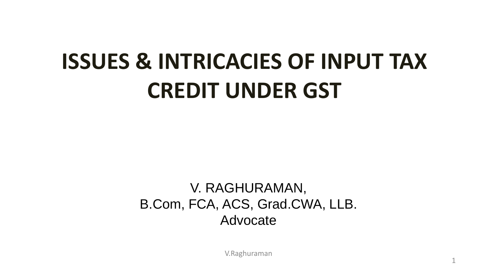# **ISSUES & INTRICACIES OF INPUT TAX CREDIT UNDER GST**

V. RAGHURAMAN, B.Com, FCA, ACS, Grad.CWA, LLB. Advocate

V.Raghuraman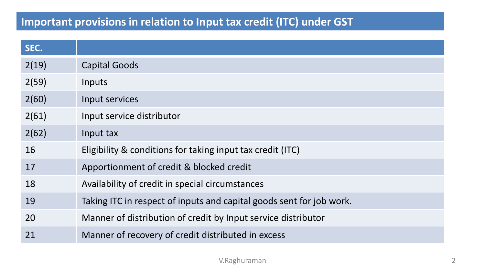# **Important provisions in relation to Input tax credit (ITC) under GST**

| SEC.  |                                                                      |
|-------|----------------------------------------------------------------------|
| 2(19) | <b>Capital Goods</b>                                                 |
| 2(59) | Inputs                                                               |
| 2(60) | Input services                                                       |
| 2(61) | Input service distributor                                            |
| 2(62) | Input tax                                                            |
| 16    | Eligibility & conditions for taking input tax credit (ITC)           |
| 17    | Apportionment of credit & blocked credit                             |
| 18    | Availability of credit in special circumstances                      |
| 19    | Taking ITC in respect of inputs and capital goods sent for job work. |
| 20    | Manner of distribution of credit by Input service distributor        |
| 21    | Manner of recovery of credit distributed in excess                   |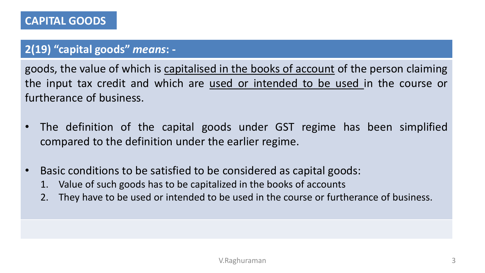# **2(19) "capital goods"** *means***: -**

goods, the value of which is capitalised in the books of account of the person claiming the input tax credit and which are used or intended to be used in the course or furtherance of business.

- The definition of the capital goods under GST regime has been simplified compared to the definition under the earlier regime.
- Basic conditions to be satisfied to be considered as capital goods:
	- 1. Value of such goods has to be capitalized in the books of accounts
	- 2. They have to be used or intended to be used in the course or furtherance of business.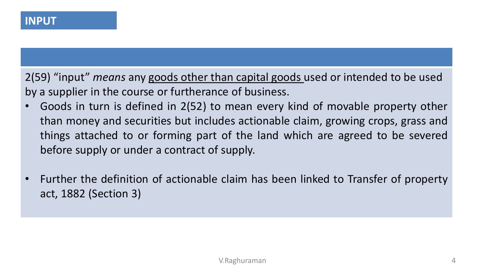2(59) "input" *means* any goods other than capital goods used or intended to be used by a supplier in the course or furtherance of business.

- Goods in turn is defined in 2(52) to mean every kind of movable property other than money and securities but includes actionable claim, growing crops, grass and things attached to or forming part of the land which are agreed to be severed before supply or under a contract of supply.
- Further the definition of actionable claim has been linked to Transfer of property act, 1882 (Section 3)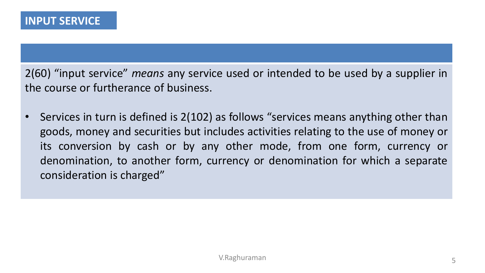2(60) "input service" *means* any service used or intended to be used by a supplier in the course or furtherance of business.

• Services in turn is defined is 2(102) as follows "services means anything other than goods, money and securities but includes activities relating to the use of money or its conversion by cash or by any other mode, from one form, currency or denomination, to another form, currency or denomination for which a separate consideration is charged"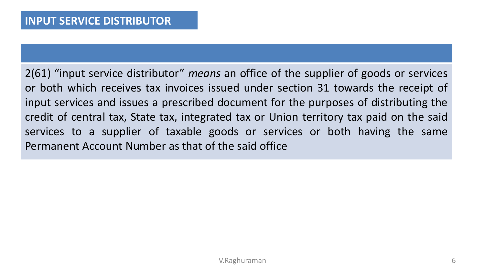2(61) "input service distributor" *means* an office of the supplier of goods or services or both which receives tax invoices issued under section 31 towards the receipt of input services and issues a prescribed document for the purposes of distributing the credit of central tax, State tax, integrated tax or Union territory tax paid on the said services to a supplier of taxable goods or services or both having the same Permanent Account Number as that of the said office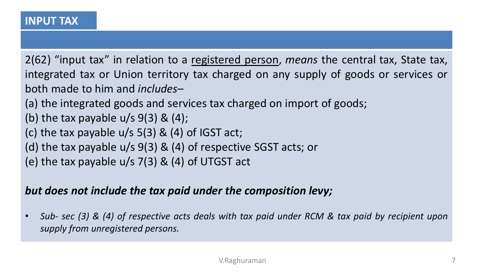2(62) "input tax" in relation to a registered person, *means* the central tax, State tax, integrated tax or Union territory tax charged on any supply of goods or services or both made to him and *includes*–

(a) the integrated goods and services tax charged on import of goods;

- (b) the tax payable  $u/s$  9(3) & (4);
- (c) the tax payable  $u/s$  5(3) & (4) of IGST act;
- (d) the tax payable u/s 9(3) & (4) of respective SGST acts; or
- (e) the tax payable u/s 7(3) & (4) of UTGST act

# *but does not include the tax paid under the composition levy;*

Sub- sec (3) & (4) of respective acts deals with tax paid under RCM & tax paid by recipient upon *supply from unregistered persons.*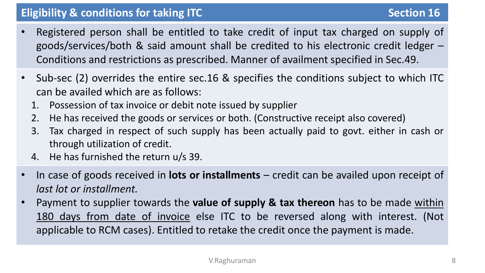### **Eligibility & conditions for taking ITC Section Section Section 16**

- Registered person shall be entitled to take credit of input tax charged on supply of goods/services/both & said amount shall be credited to his electronic credit ledger – Conditions and restrictions as prescribed. Manner of availment specified in Sec.49.
- Sub-sec (2) overrides the entire sec.16 & specifies the conditions subject to which ITC can be availed which are as follows:
	- 1. Possession of tax invoice or debit note issued by supplier
	- 2. He has received the goods or services or both. (Constructive receipt also covered)
	- 3. Tax charged in respect of such supply has been actually paid to govt. either in cash or through utilization of credit.
	- 4. He has furnished the return u/s 39.
- In case of goods received in **lots or installments** credit can be availed upon receipt of *last lot or installment.*
- Payment to supplier towards the **value of supply & tax thereon** has to be made within 180 days from date of invoice else ITC to be reversed along with interest. (Not applicable to RCM cases). Entitled to retake the credit once the payment is made.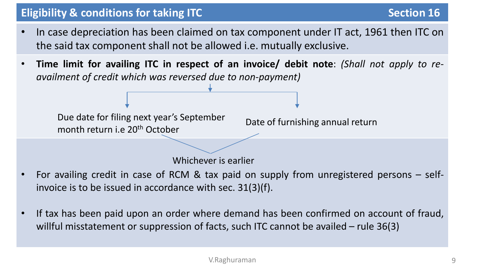# **Eligibility & conditions for taking ITC Section Section Section 16**

- In case depreciation has been claimed on tax component under IT act, 1961 then ITC on the said tax component shall not be allowed i.e. mutually exclusive.
- **Time limit for availing ITC in respect of an invoice/ debit note**: *(Shall not apply to reavailment of credit which was reversed due to non-payment)*

Due date for filing next year's September month return i.e 20th October

Date of furnishing annual return

Whichever is earlier

- For availing credit in case of RCM & tax paid on supply from unregistered persons selfinvoice is to be issued in accordance with sec. 31(3)(f).
- If tax has been paid upon an order where demand has been confirmed on account of fraud, willful misstatement or suppression of facts, such ITC cannot be availed – rule 36(3)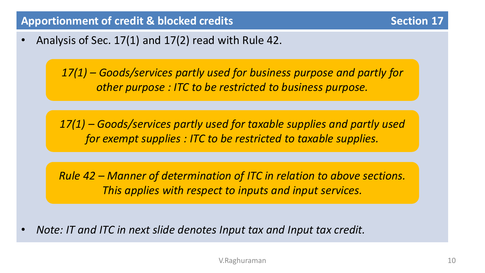• Analysis of Sec. 17(1) and 17(2) read with Rule 42.

*17(1) – Goods/services partly used for business purpose and partly for other purpose : ITC to be restricted to business purpose.*

*17(1) – Goods/services partly used for taxable supplies and partly used for exempt supplies : ITC to be restricted to taxable supplies.*

*Rule 42 – Manner of determination of ITC in relation to above sections. This applies with respect to inputs and input services.*

• *Note: IT and ITC in next slide denotes Input tax and Input tax credit.*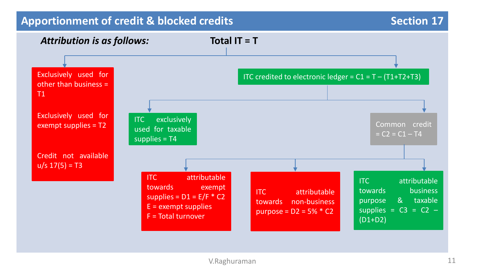### **Apportionment of credit & blocked credits** Apportionment of credit & blocked credits Apportion **17**

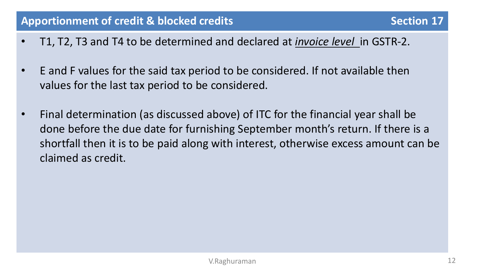- T1, T2, T3 and T4 to be determined and declared at *invoice level* in GSTR-2.
- E and F values for the said tax period to be considered. If not available then values for the last tax period to be considered.
- Final determination (as discussed above) of ITC for the financial year shall be done before the due date for furnishing September month's return. If there is a shortfall then it is to be paid along with interest, otherwise excess amount can be claimed as credit.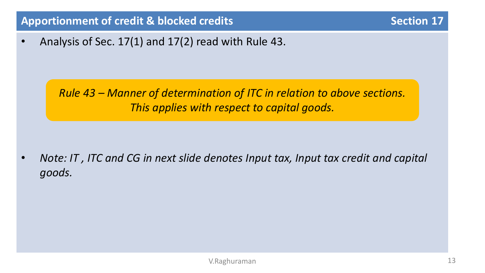# **Apportionment of credit & blocked credits Apportionment of credit & blocked credits** Apportion **Section** 17

• Analysis of Sec. 17(1) and 17(2) read with Rule 43.

*Rule 43 – Manner of determination of ITC in relation to above sections. This applies with respect to capital goods.*

• *Note: IT , ITC and CG in next slide denotes Input tax, Input tax credit and capital goods.*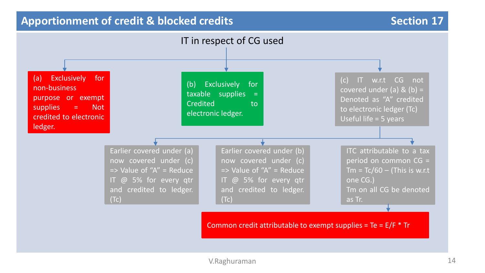#### **Apportionment of credit & blocked credits Apportionment of credit & blocked credits** Apportion **Section** 17

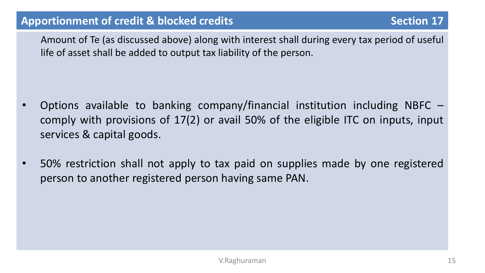Amount of Te (as discussed above) along with interest shall during every tax period of useful life of asset shall be added to output tax liability of the person.

- Options available to banking company/financial institution including NBFC comply with provisions of 17(2) or avail 50% of the eligible ITC on inputs, input services & capital goods.
- 50% restriction shall not apply to tax paid on supplies made by one registered person to another registered person having same PAN.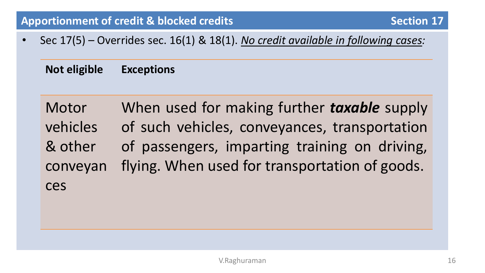• Sec 17(5) – Overrides sec. 16(1) & 18(1). *No credit available in following cases:*

**Not eligible Exceptions**

Motor vehicles & other conveyan ces When used for making further *taxable* supply of such vehicles, conveyances, transportation of passengers, imparting training on driving, flying. When used for transportation of goods.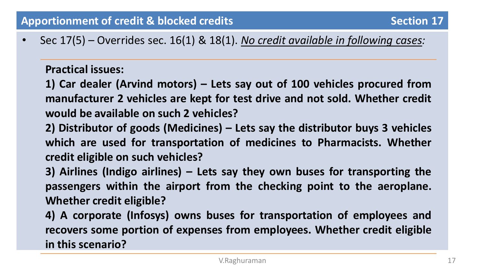• Sec 17(5) – Overrides sec. 16(1) & 18(1). *No credit available in following cases:*

**Practical issues:**

**1) Car dealer (Arvind motors) – Lets say out of 100 vehicles procured from manufacturer 2 vehicles are kept for test drive and not sold. Whether credit would be available on such 2 vehicles?**

- **2) Distributor of goods (Medicines) – Lets say the distributor buys 3 vehicles which are used for transportation of medicines to Pharmacists. Whether credit eligible on such vehicles?**
- **3) Airlines (Indigo airlines) – Lets say they own buses for transporting the passengers within the airport from the checking point to the aeroplane. Whether credit eligible?**

**4) A corporate (Infosys) owns buses for transportation of employees and recovers some portion of expenses from employees. Whether credit eligible in this scenario?**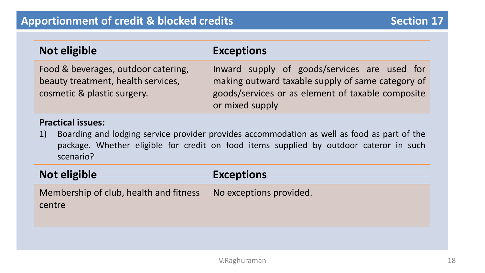| Not eligible                                                                                                               | <b>Exceptions</b>                                                                                                                                                         |  |  |
|----------------------------------------------------------------------------------------------------------------------------|---------------------------------------------------------------------------------------------------------------------------------------------------------------------------|--|--|
| Food & beverages, outdoor catering,<br>beauty treatment, health services,<br>cosmetic & plastic surgery.                   | Inward supply of goods/services are used for<br>making outward taxable supply of same category of<br>goods/services or as element of taxable composite<br>or mixed supply |  |  |
| <b>Practical issues:</b><br>1) Boarding and lodging service provider provides accommodation as well as food as part of the |                                                                                                                                                                           |  |  |

1) Boarding and lodging service provider provides accommodation as well as food as part of the package. Whether eligible for credit on food items supplied by outdoor cateror in such scenario?

| <b>Not eligible</b>                              | <b>Exceptions</b>       |
|--------------------------------------------------|-------------------------|
|                                                  |                         |
| Membership of club, health and fitness<br>centre | No exceptions provided. |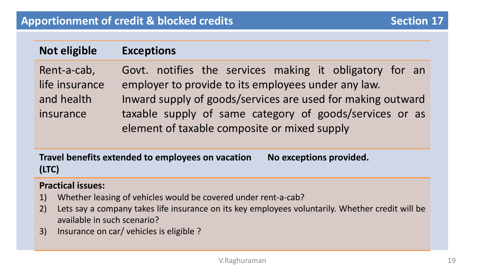# **Not eligible Exceptions**

| Rent-a-cab,    | Govt. notifies the services making it obligatory for an     |
|----------------|-------------------------------------------------------------|
| life insurance | employer to provide to its employees under any law.         |
| and health     | Inward supply of goods/services are used for making outward |
| insurance      | taxable supply of same category of goods/services or as     |
|                | element of taxable composite or mixed supply                |

**Travel benefits extended to employees on vacation (LTC) No exceptions provided.**

#### **Practical issues:**

- 1) Whether leasing of vehicles would be covered under rent-a-cab?
- 2) Lets say a company takes life insurance on its key employees voluntarily. Whether credit will be available in such scenario?
- 3) Insurance on car/ vehicles is eligible ?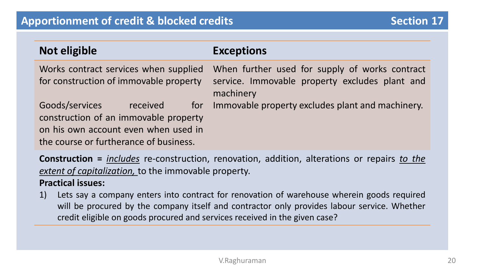| Not eligible                                                                                                                                          | <b>Exceptions</b>                                                                                             |
|-------------------------------------------------------------------------------------------------------------------------------------------------------|---------------------------------------------------------------------------------------------------------------|
| Works contract services when supplied<br>for construction of immovable property                                                                       | When further used for supply of works contract<br>service. Immovable property excludes plant and<br>machinery |
| Goods/services<br>received<br>construction of an immovable property<br>on his own account even when used in<br>the course or furtherance of business. | for Immovable property excludes plant and machinery.                                                          |

**Construction =** *includes* re-construction, renovation, addition, alterations or repairs *to the extent of capitalization,* to the immovable property.

#### **Practical issues:**

1) Lets say a company enters into contract for renovation of warehouse wherein goods required will be procured by the company itself and contractor only provides labour service. Whether credit eligible on goods procured and services received in the given case?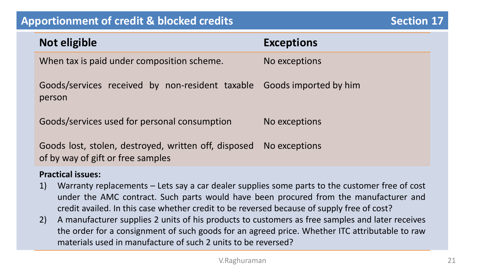### **Apportionment of credit & blocked credits Apportionment of credit & blocked credits** Apportion **Section** 17

| Not eligible                                                                              | <b>Exceptions</b> |
|-------------------------------------------------------------------------------------------|-------------------|
| When tax is paid under composition scheme.                                                | No exceptions     |
| Goods/services received by non-resident taxable Goods imported by him<br>person           |                   |
| Goods/services used for personal consumption                                              | No exceptions     |
| Goods lost, stolen, destroyed, written off, disposed<br>of by way of gift or free samples | No exceptions     |
| <b>Practical issues:</b>                                                                  |                   |

- 1) Warranty replacements Lets say a car dealer supplies some parts to the customer free of cost under the AMC contract. Such parts would have been procured from the manufacturer and credit availed. In this case whether credit to be reversed because of supply free of cost?
- 2) A manufacturer supplies 2 units of his products to customers as free samples and later receives the order for a consignment of such goods for an agreed price. Whether ITC attributable to raw materials used in manufacture of such 2 units to be reversed?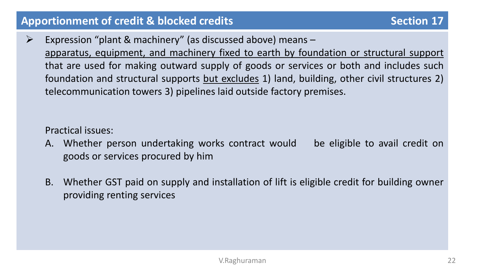# Apportionment of credit & blocked credits **Section 17** Section 17

 $\triangleright$  Expression "plant & machinery" (as discussed above) means apparatus, equipment, and machinery fixed to earth by foundation or structural support that are used for making outward supply of goods or services or both and includes such foundation and structural supports but excludes 1) land, building, other civil structures 2) telecommunication towers 3) pipelines laid outside factory premises.

Practical issues:

- A. Whether person undertaking works contract would be eligible to avail credit on goods or services procured by him
- B. Whether GST paid on supply and installation of lift is eligible credit for building owner providing renting services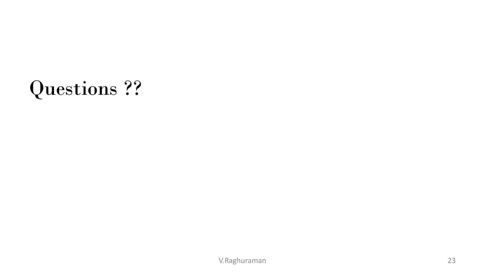# Questions ??